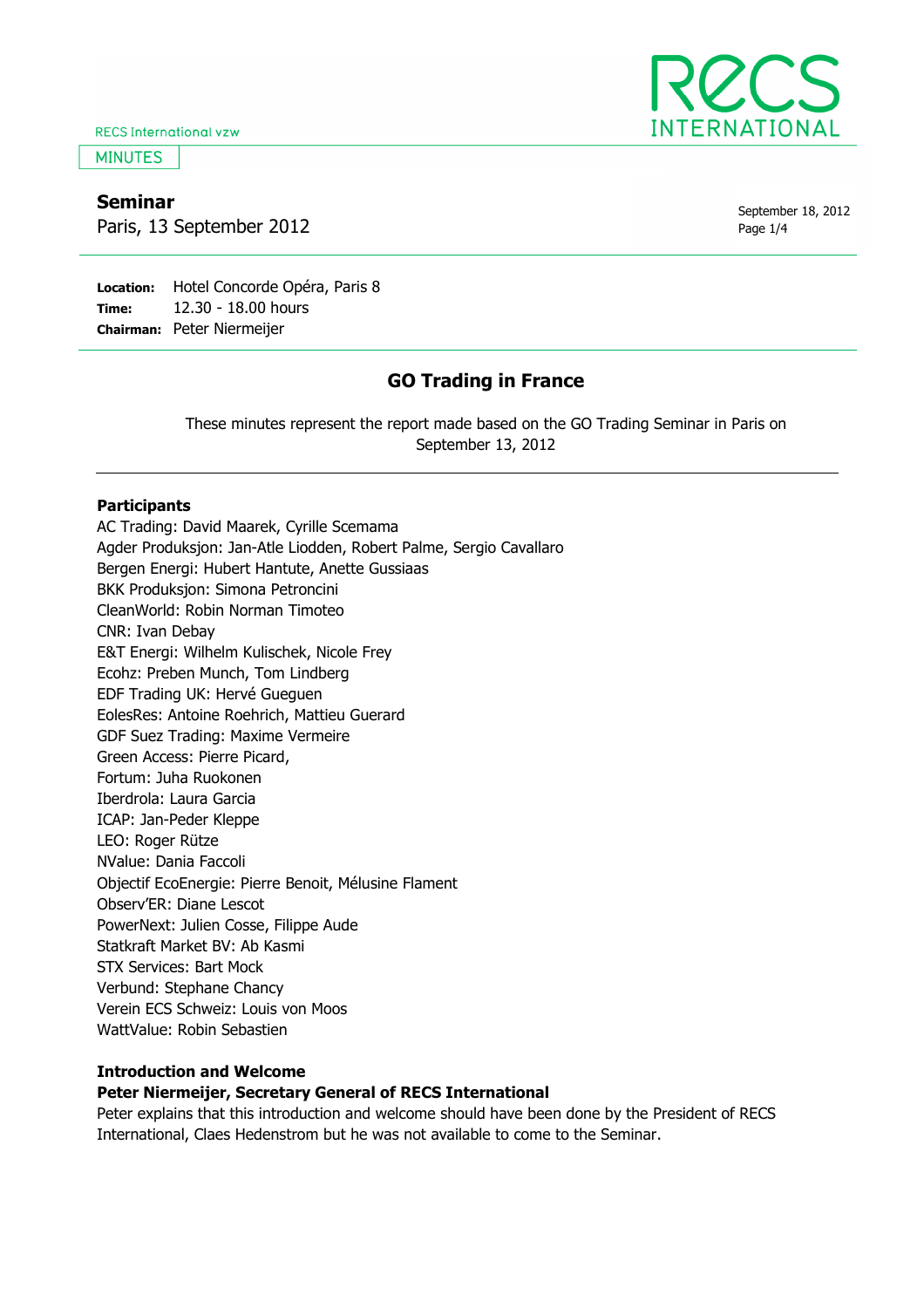**RECS International vzw** 

**MINUTES** 

# Seminar

Paris, 13 September 2012

September 18, 2012 Page 1/4

Location: Hotel Concorde Opéra, Paris 8 Time: Chairman: Peter Niermeijer 12.30 - 18.00 hours

# GO Trading in France

These minutes represent the report made based on the GO Trading Seminar in Paris on September 13, 2012

## **Participants**

AC Trading: David Maarek, Cyrille Scemama Agder Produksjon: Jan-Atle Liodden, Robert Palme, Sergio Cavallaro Bergen Energi: Hubert Hantute, Anette Gussiaas BKK Produksjon: Simona Petroncini CleanWorld: Robin Norman Timoteo CNR: Ivan Debay E&T Energi: Wilhelm Kulischek, Nicole Frey Ecohz: Preben Munch, Tom Lindberg EDF Trading UK: Hervé Gueguen EolesRes: Antoine Roehrich, Mattieu Guerard GDF Suez Trading: Maxime Vermeire Green Access: Pierre Picard, Fortum: Juha Ruokonen Iberdrola: Laura Garcia ICAP: Jan-Peder Kleppe LEO: Roger Rütze NValue: Dania Faccoli Objectif EcoEnergie: Pierre Benoit, Mélusine Flament Observ'ER: Diane Lescot PowerNext: Julien Cosse, Filippe Aude Statkraft Market BV: Ab Kasmi STX Services: Bart Mock Verbund: Stephane Chancy Verein ECS Schweiz: Louis von Moos WattValue: Robin Sebastien

# Introduction and Welcome

## Peter Niermeijer, Secretary General of RECS International

Peter explains that this introduction and welcome should have been done by the President of RECS International, Claes Hedenstrom but he was not available to come to the Seminar.

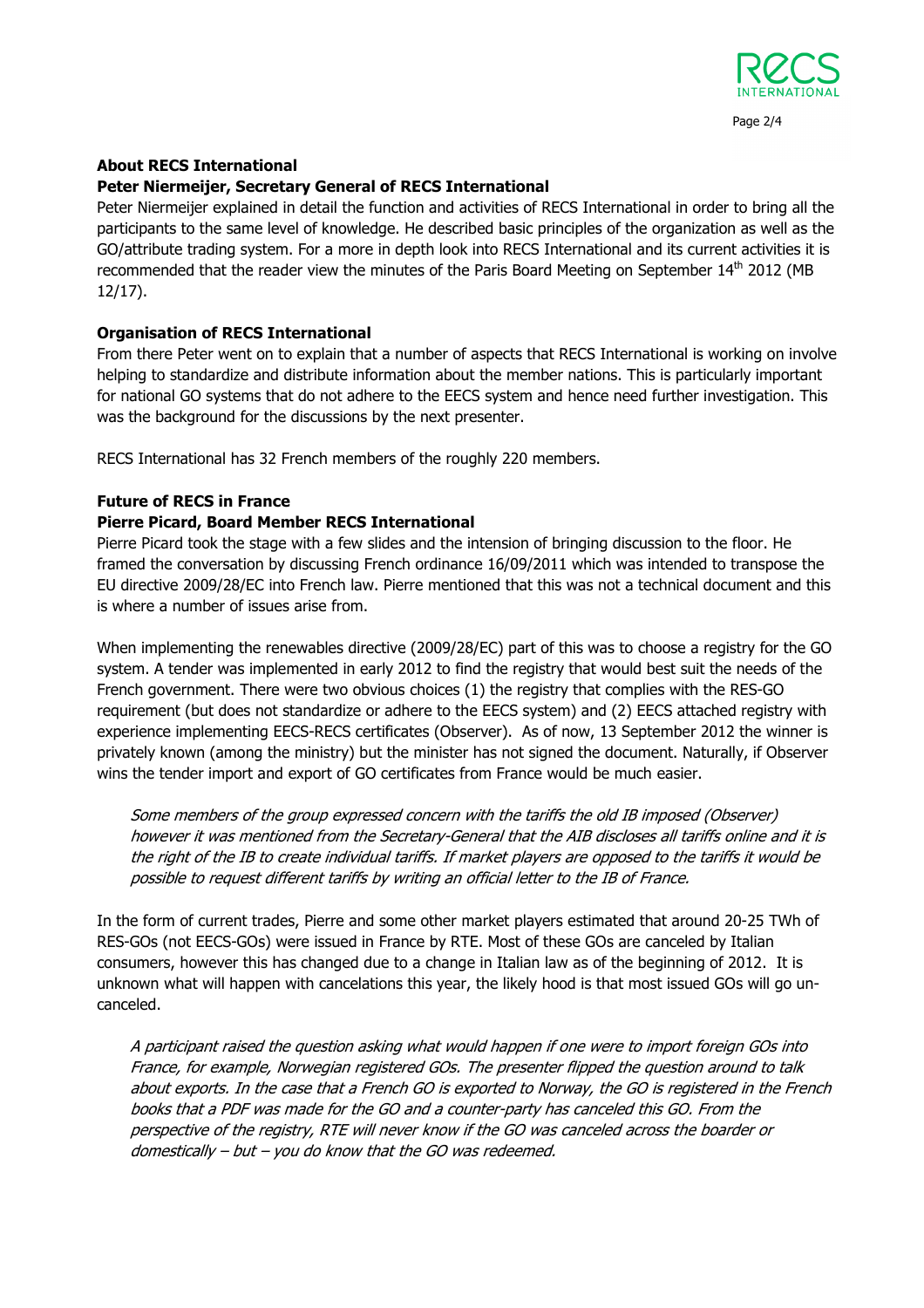

# About RECS International

## Peter Niermeijer, Secretary General of RECS International

Peter Niermeijer explained in detail the function and activities of RECS International in order to bring all the participants to the same level of knowledge. He described basic principles of the organization as well as the GO/attribute trading system. For a more in depth look into RECS International and its current activities it is recommended that the reader view the minutes of the Paris Board Meeting on September 14<sup>th</sup> 2012 (MB 12/17).

## Organisation of RECS International

From there Peter went on to explain that a number of aspects that RECS International is working on involve helping to standardize and distribute information about the member nations. This is particularly important for national GO systems that do not adhere to the EECS system and hence need further investigation. This was the background for the discussions by the next presenter.

RECS International has 32 French members of the roughly 220 members.

## Future of RECS in France

## Pierre Picard, Board Member RECS International

Pierre Picard took the stage with a few slides and the intension of bringing discussion to the floor. He framed the conversation by discussing French ordinance 16/09/2011 which was intended to transpose the EU directive 2009/28/EC into French law. Pierre mentioned that this was not a technical document and this is where a number of issues arise from.

When implementing the renewables directive (2009/28/EC) part of this was to choose a registry for the GO system. A tender was implemented in early 2012 to find the registry that would best suit the needs of the French government. There were two obvious choices (1) the registry that complies with the RES-GO requirement (but does not standardize or adhere to the EECS system) and (2) EECS attached registry with experience implementing EECS-RECS certificates (Observer). As of now, 13 September 2012 the winner is privately known (among the ministry) but the minister has not signed the document. Naturally, if Observer wins the tender import and export of GO certificates from France would be much easier.

Some members of the group expressed concern with the tariffs the old IB imposed (Observer) however it was mentioned from the Secretary-General that the AIB discloses all tariffs online and it is the right of the IB to create individual tariffs. If market players are opposed to the tariffs it would be possible to request different tariffs by writing an official letter to the IB of France.

In the form of current trades, Pierre and some other market players estimated that around 20-25 TWh of RES-GOs (not EECS-GOs) were issued in France by RTE. Most of these GOs are canceled by Italian consumers, however this has changed due to a change in Italian law as of the beginning of 2012. It is unknown what will happen with cancelations this year, the likely hood is that most issued GOs will go uncanceled.

A participant raised the question asking what would happen if one were to import foreign GOs into France, for example, Norwegian registered GOs. The presenter flipped the question around to talk about exports. In the case that a French GO is exported to Norway, the GO is registered in the French books that a PDF was made for the GO and a counter-party has canceled this GO. From the perspective of the registry, RTE will never know if the GO was canceled across the boarder or domestically – but – you do know that the GO was redeemed.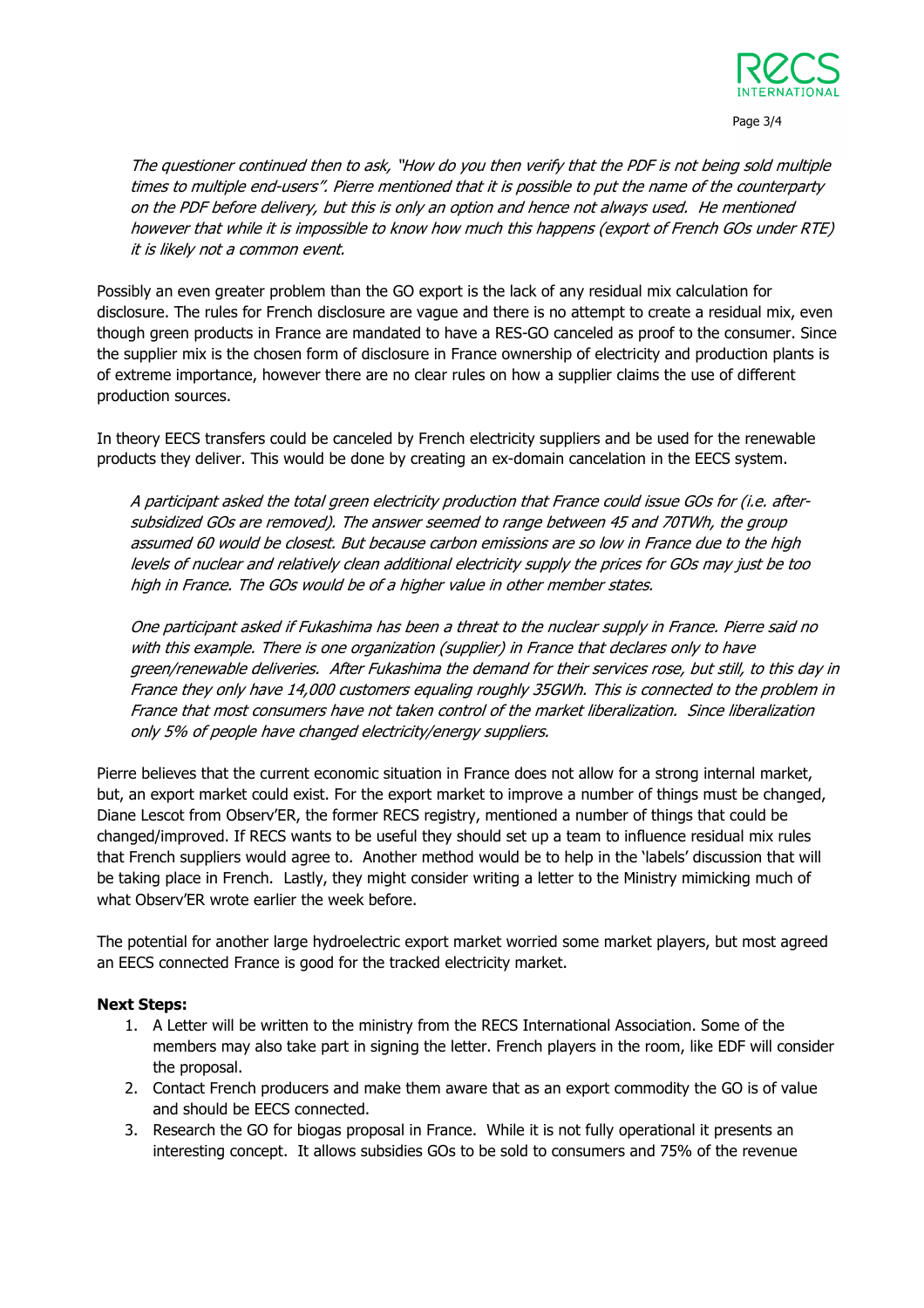

Page 3/4

The questioner continued then to ask, "How do you then verify that the PDF is not being sold multiple times to multiple end-users". Pierre mentioned that it is possible to put the name of the counterparty on the PDF before delivery, but this is only an option and hence not always used. He mentioned however that while it is impossible to know how much this happens (export of French GOs under RTE) it is likely not a common event.

Possibly an even greater problem than the GO export is the lack of any residual mix calculation for disclosure. The rules for French disclosure are vague and there is no attempt to create a residual mix, even though green products in France are mandated to have a RES-GO canceled as proof to the consumer. Since the supplier mix is the chosen form of disclosure in France ownership of electricity and production plants is of extreme importance, however there are no clear rules on how a supplier claims the use of different production sources.

In theory EECS transfers could be canceled by French electricity suppliers and be used for the renewable products they deliver. This would be done by creating an ex-domain cancelation in the EECS system.

A participant asked the total green electricity production that France could issue GOs for (i.e. aftersubsidized GOs are removed). The answer seemed to range between 45 and 70TWh, the group assumed 60 would be closest. But because carbon emissions are so low in France due to the high levels of nuclear and relatively clean additional electricity supply the prices for GOs may just be too high in France. The GOs would be of a higher value in other member states.

One participant asked if Fukashima has been a threat to the nuclear supply in France. Pierre said no with this example. There is one organization (supplier) in France that declares only to have green/renewable deliveries. After Fukashima the demand for their services rose, but still, to this day in France they only have 14,000 customers equaling roughly 35GWh. This is connected to the problem in France that most consumers have not taken control of the market liberalization. Since liberalization only 5% of people have changed electricity/energy suppliers.

Pierre believes that the current economic situation in France does not allow for a strong internal market, but, an export market could exist. For the export market to improve a number of things must be changed, Diane Lescot from Observ'ER, the former RECS registry, mentioned a number of things that could be changed/improved. If RECS wants to be useful they should set up a team to influence residual mix rules that French suppliers would agree to. Another method would be to help in the 'labels' discussion that will be taking place in French. Lastly, they might consider writing a letter to the Ministry mimicking much of what Observ'ER wrote earlier the week before.

The potential for another large hydroelectric export market worried some market players, but most agreed an EECS connected France is good for the tracked electricity market.

## Next Steps:

- 1. A Letter will be written to the ministry from the RECS International Association. Some of the members may also take part in signing the letter. French players in the room, like EDF will consider the proposal.
- 2. Contact French producers and make them aware that as an export commodity the GO is of value and should be EECS connected.
- 3. Research the GO for biogas proposal in France. While it is not fully operational it presents an interesting concept. It allows subsidies GOs to be sold to consumers and 75% of the revenue